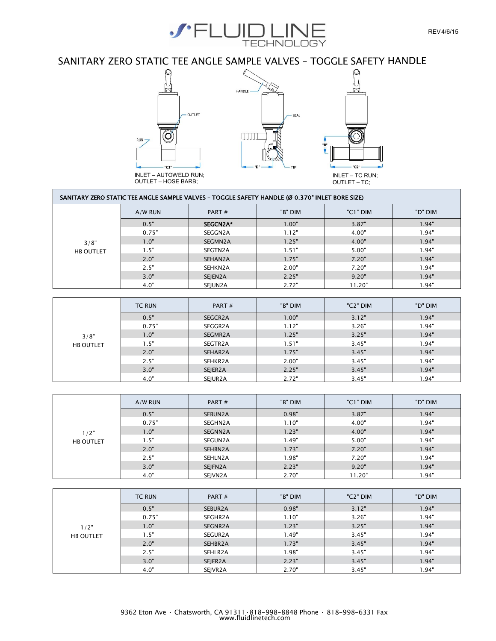



## SANITARY ZERO STATIC TEE ANGLE SAMPLE VALVES – TOGGLE SAFETY HANDLE



| SANITARY ZERO STATIC TEE ANGLE SAMPLE VALVES - TOGGLE SAFETY HANDLE (Ø 0.370" INLET BORE SIZE) |           |          |         |          |         |  |
|------------------------------------------------------------------------------------------------|-----------|----------|---------|----------|---------|--|
|                                                                                                | $A/W$ RUN | PART $#$ | "B" DIM | "C1" DIM | "D" DIM |  |
|                                                                                                | 0.5"      | SEGCN2A* | 1.00"   | 3.87"    | 1.94"   |  |
|                                                                                                | 0.75"     | SEGGN2A  | 1.12"   | 4.00"    | 1.94"   |  |
| 3/8"                                                                                           | 1.0"      | SEGMN2A  | 1.25"   | 4.00"    | 1.94"   |  |
| <b>HB OUTLET</b>                                                                               | 1.5"      | SEGTN2A  | 1.51"   | 5.00"    | 1.94"   |  |
|                                                                                                | 2.0"      | SEHAN2A  | 1.75"   | 7.20"    | 1.94"   |  |
|                                                                                                | 2.5"      | SEHKN2A  | 2.00"   | 7.20"    | 1.94"   |  |
|                                                                                                | 3.0"      | SEJEN2A  | 2.25"   | 9.20"    | 1.94"   |  |
|                                                                                                | 4.0"      | SEJUN2A  | 2.72"   | 11.20"   | 1.94"   |  |

|                  | <b>TC RUN</b> | PART $#$ | "B" DIM | "C <sub>2</sub> " DIM | "D" DIM |
|------------------|---------------|----------|---------|-----------------------|---------|
|                  | 0.5"          | SEGCR2A  | 1.00"   | 3.12"                 | 1.94"   |
|                  | 0.75"         | SEGGR2A  | 1.12"   | 3.26"                 | 1.94"   |
| 3/8"             | 1.0"          | SEGMR2A  | 1.25"   | 3.25"                 | 1.94"   |
| <b>HB OUTLET</b> | 1.5"          | SEGTR2A  | 1.51"   | 3.45"                 | 1.94"   |
|                  | 2.0"          | SEHAR2A  | 1.75"   | 3.45"                 | 1.94"   |
|                  | 2.5"          | SEHKR2A  | 2.00"   | 3.45"                 | 1.94"   |
|                  | 3.0"          | SEJER2A  | 2.25"   | 3.45"                 | 1.94"   |
|                  | 4.0"          | SEJUR2A  | 2.72"   | 3.45"                 | 1.94"   |

|                  | $A/W$ RUN | PART#   | "B" DIM | "C1" DIM | "D" DIM |
|------------------|-----------|---------|---------|----------|---------|
|                  | 0.5"      | SEBUN2A | 0.98"   | 3.87"    | 1.94"   |
|                  | 0.75"     | SEGHN2A | 1.10"   | 4.00"    | 1.94"   |
| 1/2"             | 1.0"      | SEGNN2A | 1.23"   | 4.00"    | 1.94"   |
| <b>HB OUTLET</b> | 1.5"      | SEGUN2A | 1.49"   | 5.00"    | 1.94"   |
|                  | 2.0"      | SEHBN2A | 1.73"   | 7.20"    | 1.94"   |
|                  | 2.5"      | SEHLN2A | 1.98"   | 7.20"    | 1.94"   |
|                  | 3.0"      | SEJFN2A | 2.23"   | 9.20"    | 1.94"   |
|                  | 4.0"      | SEJVN2A | 2.70"   | 11.20"   | 1.94"   |

|                  | <b>TC RUN</b> | PART#   | "B" DIM | "C2" DIM | "D" DIM |
|------------------|---------------|---------|---------|----------|---------|
|                  | 0.5"          | SEBUR2A | 0.98"   | 3.12"    | 1.94"   |
|                  | 0.75"         | SEGHR2A | 1.10"   | 3.26"    | 1.94"   |
| 1/2"             | 1.0"          | SEGNR2A | 1.23"   | 3.25"    | 1.94"   |
| <b>HB OUTLET</b> | 1.5"          | SEGUR2A | 1.49"   | 3.45"    | 1.94"   |
|                  | 2.0"          | SEHBR2A | 1.73"   | 3.45"    | 1.94"   |
|                  | 2.5"          | SEHLR2A | 1.98"   | 3.45"    | 1.94"   |
|                  | 3.0"          | SEJFR2A | 2.23"   | 3.45"    | 1.94"   |
|                  | 4.0"          | SEJVR2A | 2.70"   | 3.45"    | 1.94"   |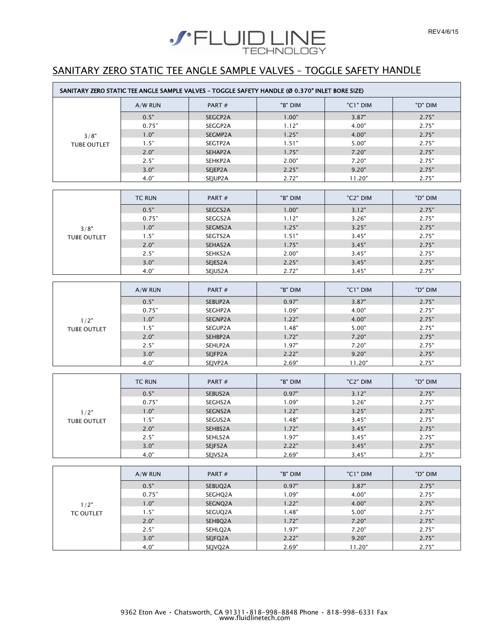

# SANITARY ZERO STATIC TEE ANGLE SAMPLE VALVES – TOGGLE SAFETY HANDLE

|                    |               | SANITARY ZERO STATIC TEE ANGLE SAMPLE VALVES - TOGGLE SAFETY HANDLE (Ø 0.370" INLET BORE SIZE) |         |          |         |
|--------------------|---------------|------------------------------------------------------------------------------------------------|---------|----------|---------|
|                    | A/W RUN       | PART#                                                                                          | "B" DIM | "C1" DIM | "D" DIM |
|                    | 0.5"          | SEGCP2A                                                                                        | 1.00"   | 3.87"    | 2.75"   |
|                    | 0.75"         | SEGGP2A                                                                                        | 1.12"   | 4.00"    | 2.75"   |
| 3/8"               | 1.0"          | SEGMP2A                                                                                        | 1.25"   | 4.00"    | 2.75"   |
| <b>TUBE OUTLET</b> | 1.5"          | SEGTP2A                                                                                        | 1.51"   | 5.00"    | 2.75"   |
|                    | 2.0"          | SEHAP2A                                                                                        | 1.75"   | 7.20"    | 2.75"   |
|                    | 2.5"          | SEHKP2A                                                                                        | 2.00"   | 7.20"    | 2.75"   |
|                    | 3.0"          | SEJEP2A                                                                                        | 2.25"   | 9.20"    | 2.75"   |
|                    | 4.0"          | SEJUP2A                                                                                        | 2.72"   | 11.20"   | 2.75"   |
|                    |               |                                                                                                |         |          |         |
|                    | <b>TC RUN</b> | PART#                                                                                          | "B" DIM | "C2" DIM | "D" DIM |
|                    | 0.5"          | SEGCS2A                                                                                        | 1.00"   | 3.12"    | 2.75"   |
|                    | 0.75"         | SEGGS2A                                                                                        | 1.12"   | 3.26"    | 2.75"   |
| 3/8"               | 1.0"          | SEGMS2A                                                                                        | 1.25"   | 3.25"    | 2.75"   |
| <b>TUBE OUTLET</b> | 1.5"          | SEGTS2A                                                                                        | 1.51"   | 3.45"    | 2.75"   |
|                    | 2.0"          | SEHAS2A                                                                                        | 1.75"   | 3.45"    | 2.75"   |
|                    | 2.5"          | SEHKS2A                                                                                        | 2.00"   | 3.45"    | 2.75"   |
|                    | 3.0"          | SEJES2A                                                                                        | 2.25"   | 3.45"    | 2.75"   |
|                    | 4.0"          | SEJUS2A                                                                                        | 2.72"   | 3.45"    | 2.75"   |
|                    | A/W RUN       | PART#                                                                                          | "B" DIM | "C1" DIM | "D" DIM |
|                    | 0.5"          | SEBUP2A                                                                                        | 0.97"   | 3.87"    | 2.75"   |
|                    | 0.75"         | SEGHP2A                                                                                        | 1.09"   | 4.00"    | 2.75"   |
| 1/2"               | 1.0"          | SEGNP2A                                                                                        | 1.22"   | 4.00"    | 2.75"   |
| <b>TUBE OUTLET</b> | 1.5"          | SEGUP2A                                                                                        | 1.48"   | 5.00"    | 2.75"   |
|                    | 2.0"          | SEHBP2A                                                                                        | 1.72"   | 7.20"    | 2.75"   |
|                    | 2.5"          | SEHLP2A                                                                                        | 1.97"   | 7.20"    | 2.75"   |
|                    | 3.0"          | SEJFP2A                                                                                        | 2.22"   | 9.20"    | 2.75"   |
|                    | 4.0"          | SEJVP2A                                                                                        | 2.69"   | 11.20"   | 2.75"   |
|                    |               |                                                                                                |         |          |         |
|                    | <b>TC RUN</b> | PART#                                                                                          | "B" DIM | "C2" DIM | "D" DIM |
|                    | 0.5"          | SEBUS2A                                                                                        | 0.97"   | 3.12"    | 2.75"   |
|                    | 0.75"         | SEGHS2A                                                                                        | 1.09"   | 3.26"    | 2.75"   |
| 1/2"               | 1.0"          | SEGNS2A                                                                                        | 1.22"   | 3.25"    | 2.75"   |
| <b>TUBE OUTLET</b> | 1.5"          | SEGUS2A                                                                                        | 1.48"   | 3.45"    | 2.75"   |
|                    | 2.0"          | SEHBS2A                                                                                        | 1.72"   | 3.45"    | 2.75"   |

|                  | $A/W$ RUN | PART#   | "B" DIM | "C1" DIM | "D" DIM |
|------------------|-----------|---------|---------|----------|---------|
|                  | 0.5"      | SEBUQ2A | 0.97"   | 3.87"    | 2.75"   |
|                  | 0.75"     | SEGHQ2A | 1.09"   | 4.00"    | 2.75"   |
| 1/2"             | 1.0"      | SEGNQ2A | 1.22"   | 4.00"    | 2.75"   |
| <b>TC OUTLET</b> | 1.5"      | SEGUQ2A | 1.48"   | 5.00"    | 2.75"   |
|                  | 2.0"      | SEHBQ2A | 1.72"   | 7.20"    | 2.75"   |
|                  | 2.5"      | SEHLQ2A | 1.97"   | 7.20"    | 2.75"   |
|                  | 3.0"      | SEJFQ2A | 2.22"   | 9.20"    | 2.75"   |
|                  | 4.0"      | SEJVQ2A | 2.69"   | 11.20"   | 2.75"   |

2.5" SEHLS2A 1.97" 3.45" 2.75" 3.0" SEJFS2A 2.22" 3.45" 2.75" 4.0" SEJVS2A 2.69" 3.45" 2.75"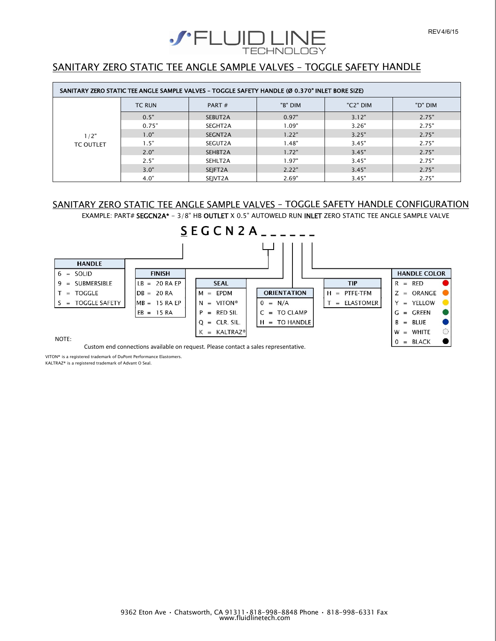

## SANITARY ZERO STATIC TEE ANGLE SAMPLE VALVES – TOGGLE SAFETY HANDLE

| SANITARY ZERO STATIC TEE ANGLE SAMPLE VALVES - TOGGLE SAFETY HANDLE (Ø 0.370" INLET BORE SIZE) |               |          |         |          |         |  |
|------------------------------------------------------------------------------------------------|---------------|----------|---------|----------|---------|--|
|                                                                                                | <b>TC RUN</b> | PART $#$ | "B" DIM | "C2" DIM | "D" DIM |  |
|                                                                                                | 0.5"          | SEBUT2A  | 0.97"   | 3.12"    | 2.75"   |  |
|                                                                                                | 0.75"         | SEGHT2A  | 1.09"   | 3.26"    | 2.75"   |  |
| 1/2"                                                                                           | 1.0"          | SEGNT2A  | 1.22"   | 3.25"    | 2.75"   |  |
| <b>TC OUTLET</b>                                                                               | 1.5"          | SEGUT2A  | 1.48"   | 3.45"    | 2.75"   |  |
|                                                                                                | 2.0"          | SEHBT2A  | 1.72"   | 3.45"    | 2.75"   |  |
|                                                                                                | 2.5"          | SEHLT2A  | 1.97"   | 3.45"    | 2.75"   |  |
|                                                                                                | 3.0"          | SEJFT2A  | 2.22"   | 3.45"    | 2.75"   |  |
|                                                                                                | 4.0"          | SEJVT2A  | 2.69"   | 3.45"    | 2.75"   |  |

#### SANITARY ZERO STATIC TEE ANGLE SAMPLE VALVES – TOGGLE SAFETY HANDLE CONFIGURATION EXAMPLE: PART# SEGCN2A\* - 3/8" HB OUTLET X 0.5" AUTOWELD RUN INLET ZERO STATIC TEE ANGLE SAMPLE VALVE



Custom end connections available on request. Please contact a sales representative.

VITON® is a registered trademark of DuPont Performance Elastomers.

KALTRAZ® is a registered trademark of Advant O Seal.